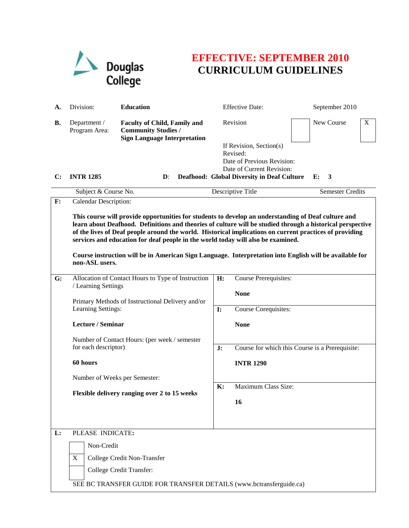

## **EFFECTIVE: SEPTEMBER 2010 CURRICULUM GUIDELINES**

| А.             | Division:                                            | <b>Education</b>                                                                                                                                                                                                                                                                                                                                                                                                                                                                                                            |                | <b>Effective Date:</b>                                                                         | September 2010   |  |
|----------------|------------------------------------------------------|-----------------------------------------------------------------------------------------------------------------------------------------------------------------------------------------------------------------------------------------------------------------------------------------------------------------------------------------------------------------------------------------------------------------------------------------------------------------------------------------------------------------------------|----------------|------------------------------------------------------------------------------------------------|------------------|--|
| <b>B.</b>      | Department /<br>Program Area:                        | <b>Faculty of Child, Family and</b><br><b>Community Studies /</b><br><b>Sign Language Interpretation</b>                                                                                                                                                                                                                                                                                                                                                                                                                    |                | Revision                                                                                       | New Course<br>X  |  |
|                | <b>INTR 1285</b>                                     | $\mathbf{D}$ :                                                                                                                                                                                                                                                                                                                                                                                                                                                                                                              |                | If Revision, Section(s)<br>Revised:<br>Date of Previous Revision:<br>Date of Current Revision: | E:               |  |
| C:             |                                                      |                                                                                                                                                                                                                                                                                                                                                                                                                                                                                                                             |                | <b>Deafhood: Global Diversity in Deaf Culture</b>                                              | -3               |  |
| $\mathbf{F}$ : | Subject & Course No.<br><b>Calendar Description:</b> |                                                                                                                                                                                                                                                                                                                                                                                                                                                                                                                             |                | Descriptive Title                                                                              | Semester Credits |  |
|                | non-ASL users.                                       | This course will provide opportunities for students to develop an understanding of Deaf culture and<br>learn about Deafhood. Definitions and theories of culture will be studied through a historical perspective<br>of the lives of Deaf people around the world. Historical implications on current practices of providing<br>services and education for deaf people in the world today will also be examined.<br>Course instruction will be in American Sign Language. Interpretation into English will be available for |                |                                                                                                |                  |  |
| G:             | / Learning Settings                                  | Allocation of Contact Hours to Type of Instruction                                                                                                                                                                                                                                                                                                                                                                                                                                                                          | H:             | <b>Course Prerequisites:</b>                                                                   |                  |  |
|                |                                                      |                                                                                                                                                                                                                                                                                                                                                                                                                                                                                                                             |                | <b>None</b>                                                                                    |                  |  |
|                |                                                      | Primary Methods of Instructional Delivery and/or<br>Learning Settings:                                                                                                                                                                                                                                                                                                                                                                                                                                                      |                | Course Corequisites:                                                                           |                  |  |
|                | Lecture / Seminar                                    |                                                                                                                                                                                                                                                                                                                                                                                                                                                                                                                             |                | <b>None</b>                                                                                    |                  |  |
|                |                                                      | Number of Contact Hours: (per week / semester<br>for each descriptor)                                                                                                                                                                                                                                                                                                                                                                                                                                                       |                | Course for which this Course is a Prerequisite:                                                |                  |  |
|                | 60 hours                                             |                                                                                                                                                                                                                                                                                                                                                                                                                                                                                                                             |                | <b>INTR 1290</b>                                                                               |                  |  |
|                | Number of Weeks per Semester:                        |                                                                                                                                                                                                                                                                                                                                                                                                                                                                                                                             |                |                                                                                                |                  |  |
|                |                                                      | Flexible delivery ranging over 2 to 15 weeks                                                                                                                                                                                                                                                                                                                                                                                                                                                                                | $\mathbf{K}$ : | Maximum Class Size:<br>16                                                                      |                  |  |
|                |                                                      |                                                                                                                                                                                                                                                                                                                                                                                                                                                                                                                             |                |                                                                                                |                  |  |
| L:             | PLEASE INDICATE:                                     |                                                                                                                                                                                                                                                                                                                                                                                                                                                                                                                             |                |                                                                                                |                  |  |
|                | Non-Credit                                           |                                                                                                                                                                                                                                                                                                                                                                                                                                                                                                                             |                |                                                                                                |                  |  |
|                | X                                                    | College Credit Non-Transfer                                                                                                                                                                                                                                                                                                                                                                                                                                                                                                 |                |                                                                                                |                  |  |
|                |                                                      | College Credit Transfer:                                                                                                                                                                                                                                                                                                                                                                                                                                                                                                    |                |                                                                                                |                  |  |
|                |                                                      | SEE BC TRANSFER GUIDE FOR TRANSFER DETAILS (www.bctransferguide.ca)                                                                                                                                                                                                                                                                                                                                                                                                                                                         |                |                                                                                                |                  |  |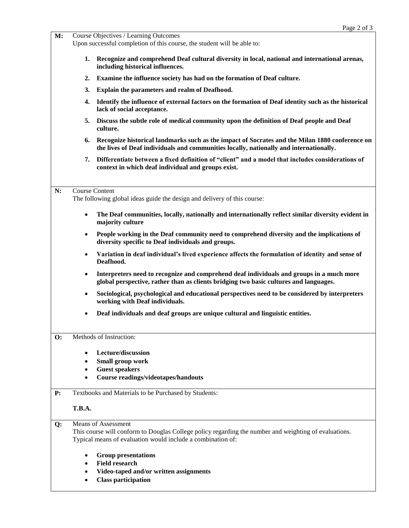| M:        |                                                                                                                                                                                                    | Course Objectives / Learning Outcomes<br>Upon successful completion of this course, the student will be able to:                                                                         |  |  |  |
|-----------|----------------------------------------------------------------------------------------------------------------------------------------------------------------------------------------------------|------------------------------------------------------------------------------------------------------------------------------------------------------------------------------------------|--|--|--|
|           | 1.                                                                                                                                                                                                 | Recognize and comprehend Deaf cultural diversity in local, national and international arenas,<br>including historical influences.                                                        |  |  |  |
|           | 2.                                                                                                                                                                                                 | Examine the influence society has had on the formation of Deaf culture.                                                                                                                  |  |  |  |
|           | 3.                                                                                                                                                                                                 | Explain the parameters and realm of Deafhood.                                                                                                                                            |  |  |  |
|           | 4.                                                                                                                                                                                                 | Identify the influence of external factors on the formation of Deaf identity such as the historical<br>lack of social acceptance.                                                        |  |  |  |
|           | 5.                                                                                                                                                                                                 | Discuss the subtle role of medical community upon the definition of Deaf people and Deaf<br>culture.                                                                                     |  |  |  |
|           | 6.                                                                                                                                                                                                 | Recognize historical landmarks such as the impact of Socrates and the Milan 1880 conference on<br>the lives of Deaf individuals and communities locally, nationally and internationally. |  |  |  |
|           | 7.                                                                                                                                                                                                 | Differentiate between a fixed definition of "client" and a model that includes considerations of<br>context in which deaf individual and groups exist.                                   |  |  |  |
| N:        | <b>Course Content</b><br>The following global ideas guide the design and delivery of this course:                                                                                                  |                                                                                                                                                                                          |  |  |  |
|           | $\bullet$                                                                                                                                                                                          | The Deaf communities, locally, nationally and internationally reflect similar diversity evident in<br>majority culture                                                                   |  |  |  |
|           | $\bullet$                                                                                                                                                                                          | People working in the Deaf community need to comprehend diversity and the implications of<br>diversity specific to Deaf individuals and groups.                                          |  |  |  |
|           | $\bullet$                                                                                                                                                                                          | Variation in deaf individual's lived experience affects the formulation of identity and sense of<br>Deafhood.                                                                            |  |  |  |
|           | $\bullet$                                                                                                                                                                                          | Interpreters need to recognize and comprehend deaf individuals and groups in a much more<br>global perspective, rather than as clients bridging two basic cultures and languages.        |  |  |  |
|           | $\bullet$                                                                                                                                                                                          | Sociological, psychological and educational perspectives need to be considered by interpreters<br>working with Deaf individuals.                                                         |  |  |  |
|           | $\bullet$                                                                                                                                                                                          | Deaf individuals and deaf groups are unique cultural and linguistic entities.                                                                                                            |  |  |  |
| <b>O:</b> |                                                                                                                                                                                                    | Methods of Instruction:                                                                                                                                                                  |  |  |  |
|           |                                                                                                                                                                                                    | Lecture/discussion                                                                                                                                                                       |  |  |  |
|           |                                                                                                                                                                                                    | Small group work                                                                                                                                                                         |  |  |  |
|           |                                                                                                                                                                                                    | <b>Guest speakers</b><br><b>Course readings/videotapes/handouts</b>                                                                                                                      |  |  |  |
| P:        |                                                                                                                                                                                                    | Textbooks and Materials to be Purchased by Students:                                                                                                                                     |  |  |  |
|           | <b>T.B.A.</b>                                                                                                                                                                                      |                                                                                                                                                                                          |  |  |  |
| Q:        | <b>Means of Assessment</b><br>This course will conform to Douglas College policy regarding the number and weighting of evaluations.<br>Typical means of evaluation would include a combination of: |                                                                                                                                                                                          |  |  |  |
|           |                                                                                                                                                                                                    | <b>Group presentations</b><br><b>Field research</b><br>Video-taped and/or written assignments<br><b>Class participation</b>                                                              |  |  |  |